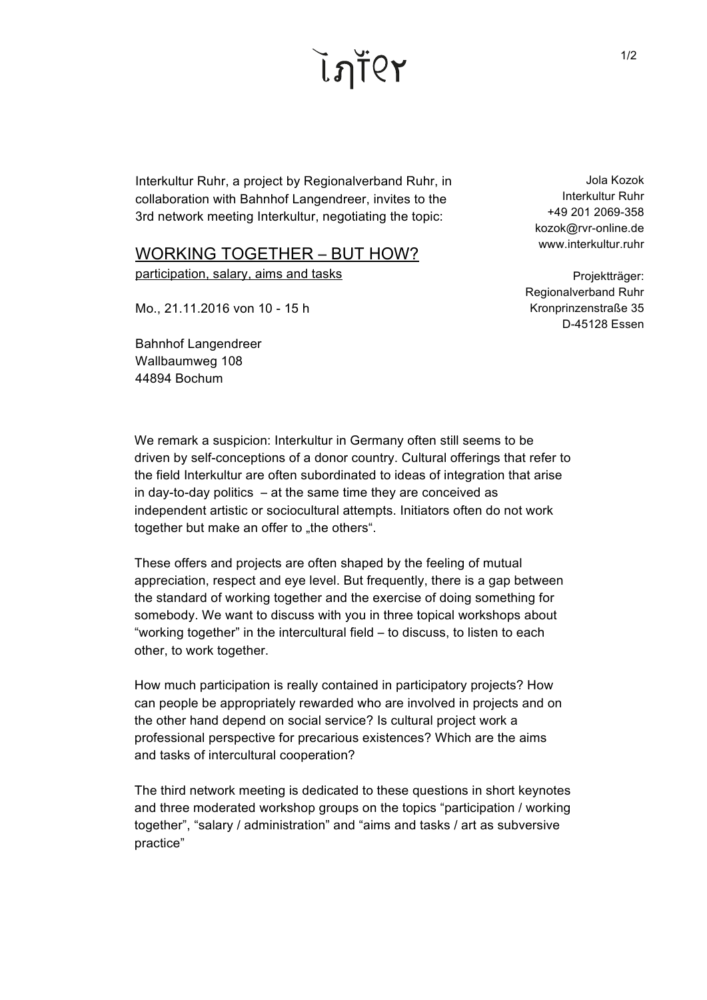ี ไฦŤ(?

Interkultur Ruhr, a project by Regionalverband Ruhr, in collaboration with Bahnhof Langendreer, invites to the 3rd network meeting Interkultur, negotiating the topic:

## WORKING TOGETHER - BUT HOW?

participation, salary, aims and tasks

Mo., 21.11.2016 von 10 - 15 h

Bahnhof Langendreer Wallbaumweg 108 44894 Bochum

Jola Kozok Interkultur Ruhr +49 201 2069-358 kozok@rvr-online.de www.interkultur.ruhr

Projektträger: Regionalverband Ruhr Kronprinzenstraße 35 D-45128 Essen

We remark a suspicion: Interkultur in Germany often still seems to be driven by self-conceptions of a donor country. Cultural offerings that refer to the field Interkultur are often subordinated to ideas of integration that arise in day-to-day politics  $-$  at the same time they are conceived as independent artistic or sociocultural attempts. Initiators often do not work together but make an offer to "the others".

These offers and projects are often shaped by the feeling of mutual appreciation, respect and eye level. But frequently, there is a gap between the standard of working together and the exercise of doing something for somebody. We want to discuss with you in three topical workshops about "working together" in the intercultural field ‒ to discuss, to listen to each other, to work together.

How much participation is really contained in participatory projects? How can people be appropriately rewarded who are involved in projects and on the other hand depend on social service? Is cultural project work a professional perspective for precarious existences? Which are the aims and tasks of intercultural cooperation?

The third network meeting is dedicated to these questions in short keynotes and three moderated workshop groups on the topics "participation / working together", "salary / administration" and "aims and tasks / art as subversive practice"